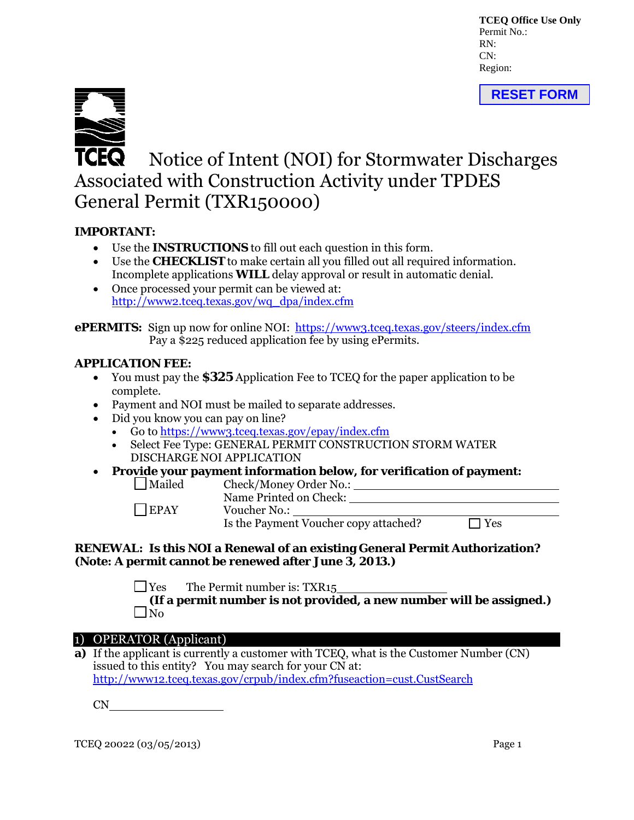**TCEQ Office Use Only** Permit No.: RN:  $CN<sup>1</sup>$ Region:





# **TCEQ** Notice of Intent (NOI) for Stormwater Discharges Associated with Construction Activity under TPDES General Permit (TXR150000)

# **IMPORTANT:**

- Use the **INSTRUCTIONS** to fill out each question in this form.
- Use the **CHECKLIST** to make certain all you filled out all required information. Incomplete applications **WILL** delay approval or result in automatic denial.
- Once processed your permit can be viewed at: [http://www2.tceq.texas.gov/wq\\_dpa/index.cfm](http://www2.tceq.texas.gov/wq_dpa/index.cfm)

**ePERMITS:** Sign up now for online NOI: <https://www3.tceq.texas.gov/steers/index.cfm> Pay a \$225 reduced application fee by using ePermits.

# **APPLICATION FEE:**

- You must pay the **\$325** Application Fee to TCEQ for the paper application to be complete.
- Payment and NOI must be mailed to separate addresses.
- Did you know you can pay on line?
	- Go to [https://www3.tceq.texas.gov/epay/index.cfm](http://www.tceq.texas.gov/epay)
	- Select Fee Type: GENERAL PERMIT CONSTRUCTION STORM WATER DISCHARGE NOI APPLICATION
- **Provide your payment information below, for verification of payment:** Mailed Check/Money Order No.:

Name Printed on Check: EPAY Voucher No.: Is the Payment Voucher copy attached?  $\Box$  Yes

### **RENEWAL: Is this NOI a Renewal of an existing General Permit Authorization? (Note: A permit cannot be renewed after June 3, 2013.)**

 $\Box$  Yes The Permit number is: TXR15

**(If a permit number is not provided, a new number will be assigned.)**   $\Box$ No

# 1) OPERATOR (Applicant)

**a)** If the applicant is currently a customer with TCEQ, what is the Customer Number (CN) issued to this entity? You may search for your CN at: <http://www12.tceq.texas.gov/crpub/index.cfm?fuseaction=cust.CustSearch>

 $CN$ <sub>\_\_\_</sub>

TCEQ 20022 (03/05/2013) Page 1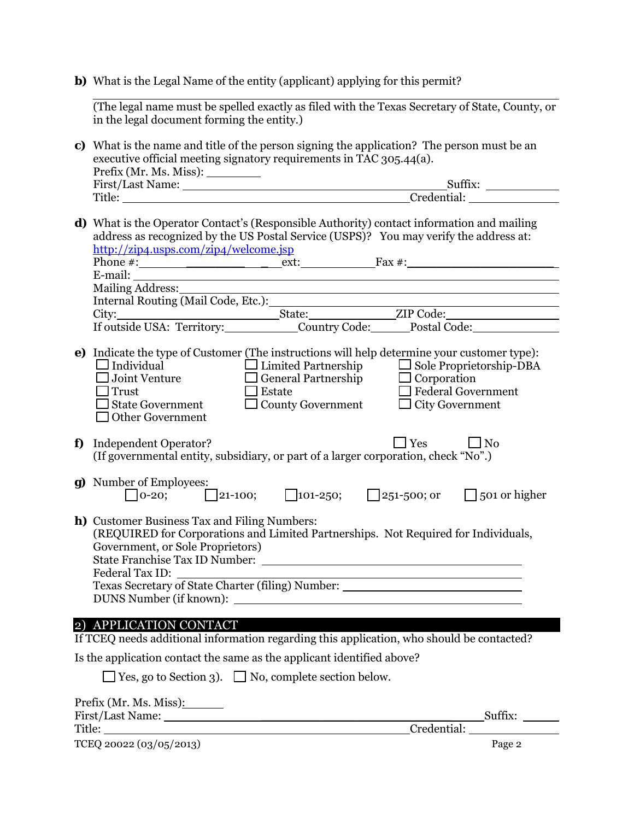**b**) What is the Legal Name of the entity (applicant) applying for this permit?

 $\overline{a}$ (The legal name must be spelled exactly as filed with the Texas Secretary of State, County, or in the legal document forming the entity.)

**c)** What is the name and title of the person signing the application? The person must be an executive official meeting signatory requirements in TAC 305.44(a). Prefix (Mr. Ms. Miss):

| <b>First/Last Name:</b> | <b>SUIIIX</b>           |
|-------------------------|-------------------------|
| Title:                  | <sup>-</sup> redential: |

**d)** What is the Operator Contact's (Responsible Authority) contact information and mailing address as recognized by the US Postal Service (USPS)? You may verify the address at: <http://zip4.usps.com/zip4/welcome.jsp>

|    | $\square$ Individual<br>Joint Venture<br>Trust<br><b>State Government</b><br><b>Other Government</b>                              | $\Box$ Limited Partnership<br>$\Box$ General Partnership<br>$\Box$ Estate<br>$\Box$ County Government | e) Indicate the type of Customer (The instructions will help determine your customer type):<br>$\Box$ Sole Proprietorship-DBA<br>$\Box$ Corporation<br>$\Box$ Federal Government<br>$\Box$ City Government |
|----|-----------------------------------------------------------------------------------------------------------------------------------|-------------------------------------------------------------------------------------------------------|------------------------------------------------------------------------------------------------------------------------------------------------------------------------------------------------------------|
| f) | Independent Operator?<br>(If governmental entity, subsidiary, or part of a larger corporation, check "No".)                       |                                                                                                       | $\Box$ Yes<br>$\Box$ No                                                                                                                                                                                    |
|    | <b>g)</b> Number of Employees:                                                                                                    |                                                                                                       | $\bigcap$ 0-20; $\bigcap$ 21-100; $\bigcap$ 101-250; $\bigcap$ 251-500; or $\bigcap$ 501 or higher                                                                                                         |
|    | <b>h</b> ) Customer Business Tax and Filing Numbers:<br>Government, or Sole Proprietors)<br><b>State Franchise Tax ID Number:</b> |                                                                                                       | (REQUIRED for Corporations and Limited Partnerships. Not Required for Individuals,                                                                                                                         |

Texas Secretary of State Charter (filing) Number: DUNS Number (if known):

Federal Tax ID:

#### 2) APPLICATION CONTACT

If TCEQ needs additional information regarding this application, who should be contacted?

Is the application contact the same as the applicant identified above?

| $\Box$ Yes, go to Section 3). | $\Box$ No, complete section below. |
|-------------------------------|------------------------------------|
|-------------------------------|------------------------------------|

| Prefix (Mr. Ms. Miss):  |             |         |  |
|-------------------------|-------------|---------|--|
| First/Last Name:        |             | Suffix: |  |
| Title:                  | Credential: |         |  |
| TCEQ 20022 (03/05/2013) |             | Page 2  |  |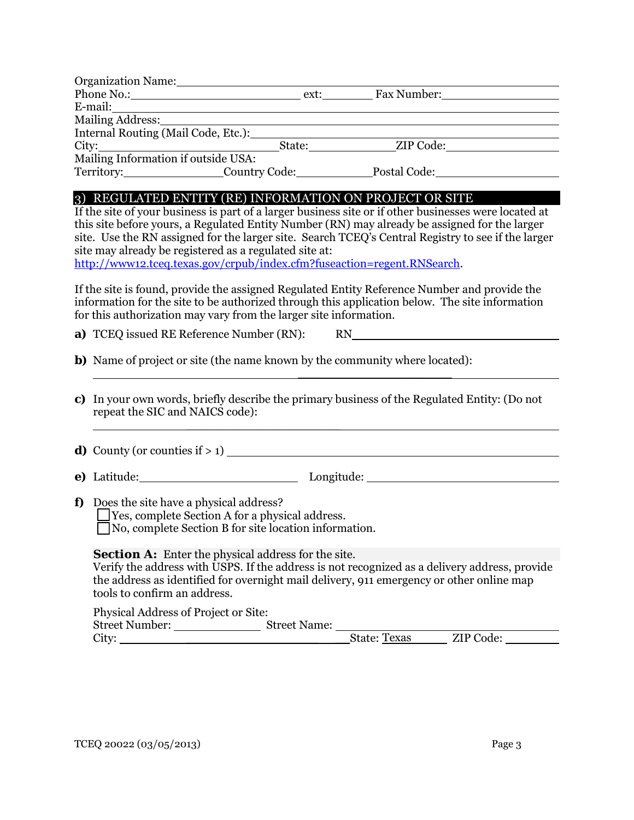| Organization Name:                                                                                             |                               |  |
|----------------------------------------------------------------------------------------------------------------|-------------------------------|--|
|                                                                                                                | Phone No.: ext: Fax Number:   |  |
|                                                                                                                |                               |  |
| Mailing Address: 1988 and 2008 and 2008 and 2008 and 2008 and 2008 and 2008 and 2008 and 2008 and 2008 and 200 |                               |  |
| Internal Routing (Mail Code, Etc.):                                                                            |                               |  |
|                                                                                                                | City: State: State: ZIP Code: |  |
| Mailing Information if outside USA:                                                                            |                               |  |
| Territory: Country Code:                                                                                       | Postal Code:                  |  |
|                                                                                                                |                               |  |

#### 3) REGULATED ENTITY (RE) INFORMATION ON PROJECT OR SITE

If the site of your business is part of a larger business site or if other businesses were located at this site before yours, a Regulated Entity Number (RN) may already be assigned for the larger site. Use the RN assigned for the larger site. Search TCEQ's Central Registry to see if the larger site may already be registered as a regulated site at:

[http://www12.tceq.texas.gov/crpub/index.cfm?fuseaction=regent.RNSearch.](http://www12.tceq.texas.gov/crpub/index.cfm?fuseaction=regent.RNSearch) 

If the site is found, provide the assigned Regulated Entity Reference Number and provide the information for the site to be authorized through this application below. The site information for this authorization may vary from the larger site information.

**a)** TCEQ issued RE Reference Number (RN): RN

- **b)** Name of project or site (the name known by the community where located): \_\_\_\_\_\_\_\_\_\_\_\_\_\_\_\_\_\_\_\_\_
- **c)** In your own words, briefly describe the primary business of the Regulated Entity: (Do not repeat the SIC and NAICS code):

**d)** County (or counties if  $> 1$ )

**e**) Latitude: Longitude: Longitude: Longitude: Longitude: Longitude: Longitude: Longitude: Longitude: Longitude: Longitude: Longitude: Longitude: Longitude: Longitude: Longitude: Longitude: Longitude: Longitude: Longitude

**f)** Does the site have a physical address? Yes, complete Section A for a physical address. No, complete Section B for site location information.

 $\overline{\phantom{a}}$  , where  $\overline{\phantom{a}}$  , where  $\overline{\phantom{a}}$  , where  $\overline{\phantom{a}}$  , where  $\overline{\phantom{a}}$ 

#### **Section A:** Enter the physical address for the site.

Verify the address with USPS. If the address is not recognized as a delivery address, provide the address as identified for overnight mail delivery, 911 emergency or other online map tools to confirm an address.

| Physical Address of Project or Site: |                     |                     |           |  |
|--------------------------------------|---------------------|---------------------|-----------|--|
| <b>Street Number:</b>                | <b>Street Name:</b> |                     |           |  |
| City:                                |                     | <b>State: Texas</b> | ZIP Code: |  |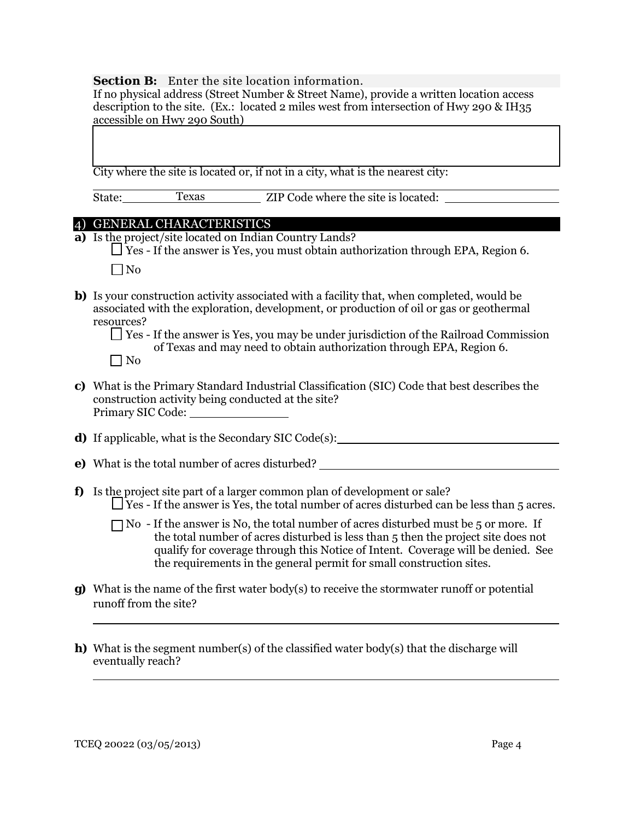#### **Section B:** Enter the site location information.

If no physical address (Street Number & Street Name), provide a written location access description to the site. (Ex.: located 2 miles west from intersection of Hwy 290 & IH35 accessible on Hwy 290 South)

City where the site is located or, if not in a city, what is the nearest city:

State: Texas ZIP Code where the site is located: Texas

### 4) GENERAL CHARACTERISTICS

**a)** Is the project/site located on Indian Country Lands?

 $\Box$  Yes - If the answer is Yes, you must obtain authorization through EPA, Region 6.  $\Box$ No

**b)** Is your construction activity associated with a facility that, when completed, would be associated with the exploration, development, or production of oil or gas or geothermal resources?

**c)** What is the Primary Standard Industrial Classification (SIC) Code that best describes the construction activity being conducted at the site? Primary SIC Code:

**d**) If applicable, what is the Secondary SIC Code(s):

- **e)** What is the total number of acres disturbed?
- **f)** Is the project site part of a larger common plan of development or sale?  $\Box$  Yes - If the answer is Yes, the total number of acres disturbed can be less than 5 acres.
	- $\Box$  No If the answer is No, the total number of acres disturbed must be 5 or more. If the total number of acres disturbed is less than 5 then the project site does not qualify for coverage through this Notice of Intent. Coverage will be denied. See the requirements in the general permit for small construction sites.
- **g)** What is the name of the first water body(s) to receive the stormwater runoff or potential runoff from the site?
- **h)** What is the segment number(s) of the classified water body(s) that the discharge will eventually reach?

 $\overline{a}$ 

 $\overline{a}$ 

Yes - If the answer is Yes, you may be under jurisdiction of the Railroad Commission of Texas and may need to obtain authorization through EPA, Region 6.  $\Box$  No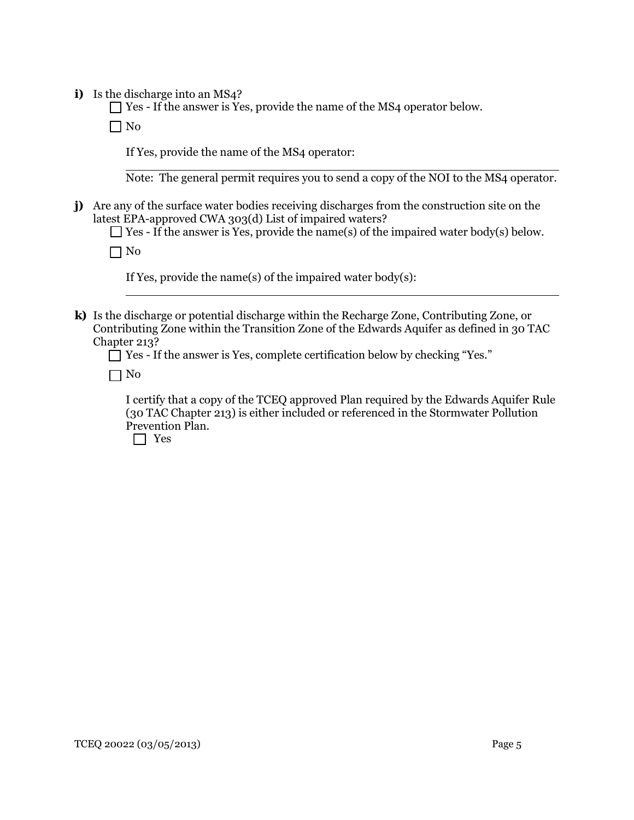**i)** Is the discharge into an MS4?

Yes - If the answer is Yes, provide the name of the MS4 operator below.

 $\Box$  No

If Yes, provide the name of the MS4 operator:

 $\overline{a}$ Note: The general permit requires you to send a copy of the NOI to the MS4 operator.

**j)** Are any of the surface water bodies receiving discharges from the construction site on the latest EPA-approved CWA 303(d) List of impaired waters?

 $\Box$  Yes - If the answer is Yes, provide the name(s) of the impaired water body(s) below.

 $\Box$  No

 $\overline{a}$ 

If Yes, provide the name(s) of the impaired water body(s):

**k)** Is the discharge or potential discharge within the Recharge Zone, Contributing Zone, or Contributing Zone within the Transition Zone of the Edwards Aquifer as defined in 30 TAC Chapter 213?

Yes - If the answer is Yes, complete certification below by checking "Yes."

 $\Box$  No

I certify that a copy of the TCEQ approved Plan required by the Edwards Aquifer Rule (30 TAC Chapter 213) is either included or referenced in the Stormwater Pollution Prevention Plan.

Yes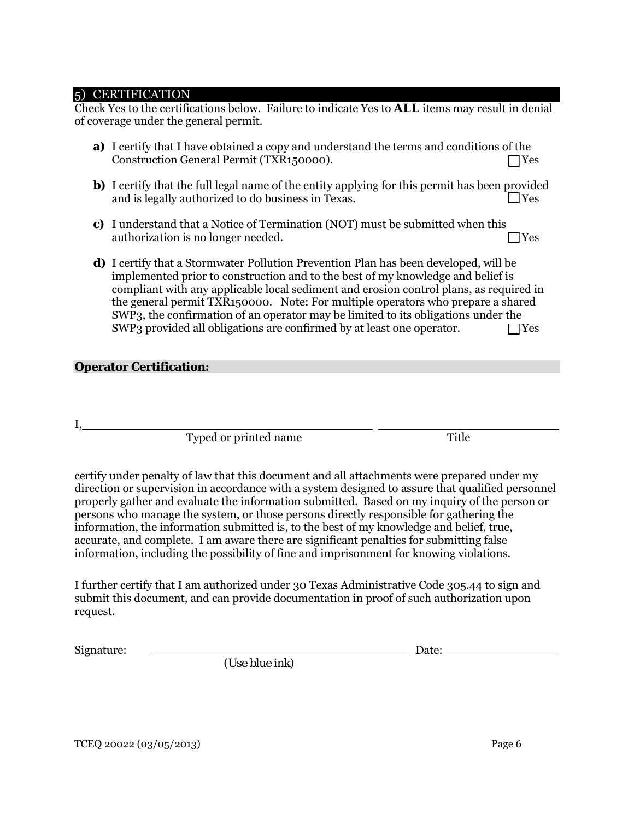#### 5) CERTIFICATION

Check Yes to the certifications below. Failure to indicate Yes to *ALL* items may result in denial of coverage under the general permit.

- **a)** I certify that I have obtained a copy and understand the terms and conditions of the Construction General Permit (TXR150000). ◯ Yes
- **b)** I certify that the full legal name of the entity applying for this permit has been provided and is legally authorized to do business in Texas.  $\Box$  Yes
- **c)** I understand that a Notice of Termination (NOT) must be submitted when this authorization is no longer needed.  $\Box$  Yes
- **d)** I certify that a Stormwater Pollution Prevention Plan has been developed, will be implemented prior to construction and to the best of my knowledge and belief is compliant with any applicable local sediment and erosion control plans, as required in the general permit TXR150000. Note: For multiple operators who prepare a shared SWP3, the confirmation of an operator may be limited to its obligations under the  $SWP_3$  provided all obligations are confirmed by at least one operator.  $\Box$  Yes

#### **Operator Certification:**

I,

Typed or printed name Title

certify under penalty of law that this document and all attachments were prepared under my direction or supervision in accordance with a system designed to assure that qualified personnel properly gather and evaluate the information submitted. Based on my inquiry of the person or persons who manage the system, or those persons directly responsible for gathering the information, the information submitted is, to the best of my knowledge and belief, true, accurate, and complete. I am aware there are significant penalties for submitting false information, including the possibility of fine and imprisonment for knowing violations.

I further certify that I am authorized under 30 Texas Administrative Code 305.44 to sign and submit this document, and can provide documentation in proof of such authorization upon request.

Signature: Date:

*(Use blue ink)*

TCEQ 20022 (03/05/2013) Page 6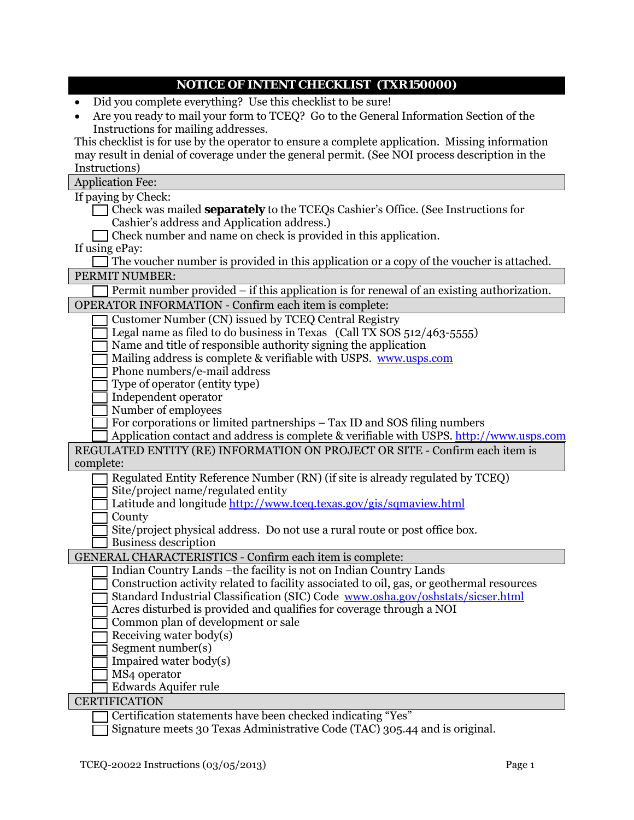| <b>NOTICE OF INTENT CHECKLIST(TXR150000)</b> |  |
|----------------------------------------------|--|
|                                              |  |
|                                              |  |
|                                              |  |
|                                              |  |
|                                              |  |
|                                              |  |
|                                              |  |
|                                              |  |
|                                              |  |
|                                              |  |
|                                              |  |
|                                              |  |

- Did you complete everything? Use this checklist to be sure!
- Are you ready to mail your form to TCEQ? Go to the General Information Section of the Instructions for mailing addresses.

This checklist is for use by the operator to ensure a complete application. Missing information may result in denial of coverage under the general permit. (See NOI process description in the Instructions)

Application Fee:

If paying by Check:

- Check was mailed **separately** to the TCEQs Cashier's Office. (See Instructions for Cashier's address and Application address.)
- Check number and name on check is provided in this application.

If using ePay:

| $\Box$ The voucher number is provided in this application or a copy of the voucher is attached. |  |
|-------------------------------------------------------------------------------------------------|--|
| PERMIT NUMBER:                                                                                  |  |

| $\Box$ Permit number provided – if this application is for renewal of an existing authorization. |  |  |
|--------------------------------------------------------------------------------------------------|--|--|
|                                                                                                  |  |  |

| <b>OPERATOR INFORMATION - Confirm each item is complete:</b> |  |                                                                                                                  |  |
|--------------------------------------------------------------|--|------------------------------------------------------------------------------------------------------------------|--|
|                                                              |  | 그 그 아이들은 그 사람들은 그 사람들을 지르며 그 사람들을 지르며 아주 있다. 그 아이들은 그 사람들은 아주 있다. 그 아주 아주 있다. 그 아주 아주 있다. 그 아주 아주 있다. 그 아주 아주 있다 |  |

- Customer Number (CN) issued by TCEQ Central Registry
- Legal name as filed to do business in Texas (Call TX SOS 512/463-5555)
- Name and title of responsible authority signing the application
- Mailing address is complete & verifiable with USPS. www.usps.com
- Phone numbers/e-mail address
- Type of operator (entity type)
- Independent operator
- Number of employees
	- For corporations or limited partnerships Tax ID and SOS filing numbers
- Application contact and address is complete & verifiable with USPS. [http://www.usps.com](http://www.usps.com/)

| REGULATED ENTITY (RE) INFORMATION ON PROJECT OR SITE - Confirm each item is |  |
|-----------------------------------------------------------------------------|--|
| complete:                                                                   |  |

- Regulated Entity Reference Number (RN) (if site is already regulated by TCEQ) Site/project name/regulated entity
- 
- Latitude and longitude<http://www.tceq.texas.gov/gis/sqmaview.html>
- County
- Site/project physical address. Do not use a rural route or post office box. Business description

GENERAL CHARACTERISTICS - Confirm each item is complete:

- Indian Country Lands –the facility is not on Indian Country Lands
	- Construction activity related to facility associated to oil, gas, or geothermal resources Standard Industrial Classification (SIC) Code [www.osha.gov/oshstats/sicser.html](http://www.osha.gov/oshstats/sicser.html)
- Acres disturbed is provided and qualifies for coverage through a NOI
- Common plan of development or sale
- Receiving water body(s)
- Segment number(s)
- Impaired water body(s)
- MS4 operator
- Edwards Aquifer rule

### **CERTIFICATION**

Certification statements have been checked indicating "Yes"

Signature meets 30 Texas Administrative Code (TAC) 305.44 and is original.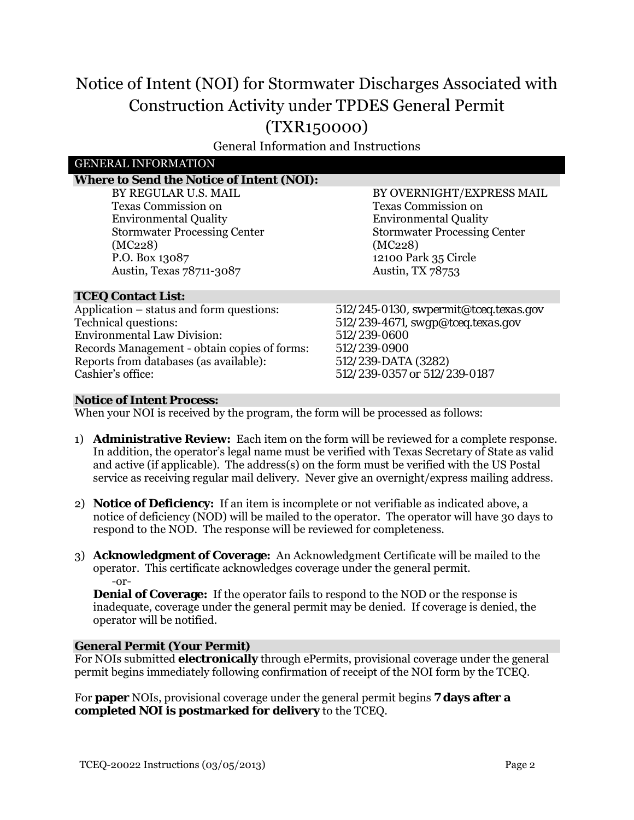# Notice of Intent (NOI) for Stormwater Discharges Associated with Construction Activity under TPDES General Permit (TXR150000)

General Information and Instructions

### GENERAL INFORMATION

## **Where to Send the Notice of Intent (NOI):**

BY REGULAR U.S. MAIL Texas Commission on Environmental Quality Stormwater Processing Center (MC228) P.O. Box 13087 Austin, Texas 78711-3087

BY OVERNIGHT/EXPRESS MAIL Texas Commission on Environmental Quality Stormwater Processing Center (MC228) 12100 Park 35 Circle Austin, TX 78753

#### **TCEQ Contact List:**

Application – status and form questions: *512/245-0130, swpermit@tceq.texas.gov*<br>Technical questions: *512/239-4671, swgp@tceq.texas.gov* Environmental Law Division: *512/239-0600* Records Management - obtain copies of forms:  $512/239-0900$ <br>Reports from databases (as available):  $512/239-DATA$  (3282) Reports from databases (as available): Cashier's office: *512/239-0357 or 512/239-0187*

Technical questions: *512/239-4671, swgp@tceq.texas.gov* 

#### **Notice of Intent Process:**

When your NOI is received by the program, the form will be processed as follows:

- 1) **Administrative Review:** Each item on the form will be reviewed for a complete response. In addition, the operator's legal name must be verified with Texas Secretary of State as valid and active (if applicable). The address(s) on the form must be verified with the US Postal service as receiving regular mail delivery. Never give an overnight/express mailing address.
- 2) **Notice of Deficiency:** If an item is incomplete or not verifiable as indicated above, a notice of deficiency (NOD) will be mailed to the operator. The operator will have 30 days to respond to the NOD. The response will be reviewed for completeness.
- 3) **Acknowledgment of Coverage:** An Acknowledgment Certificate will be mailed to the operator. This certificate acknowledges coverage under the general permit. -or-

**Denial of Coverage:** If the operator fails to respond to the NOD or the response is inadequate, coverage under the general permit may be denied. If coverage is denied, the operator will be notified.

#### **General Permit (Your Permit)**

For NOIs submitted **electronically** through ePermits, provisional coverage under the general permit begins immediately following confirmation of receipt of the NOI form by the TCEQ.

For **paper** NOIs, provisional coverage under the general permit begins **7 days after a completed NOI is postmarked for delivery** to the TCEQ.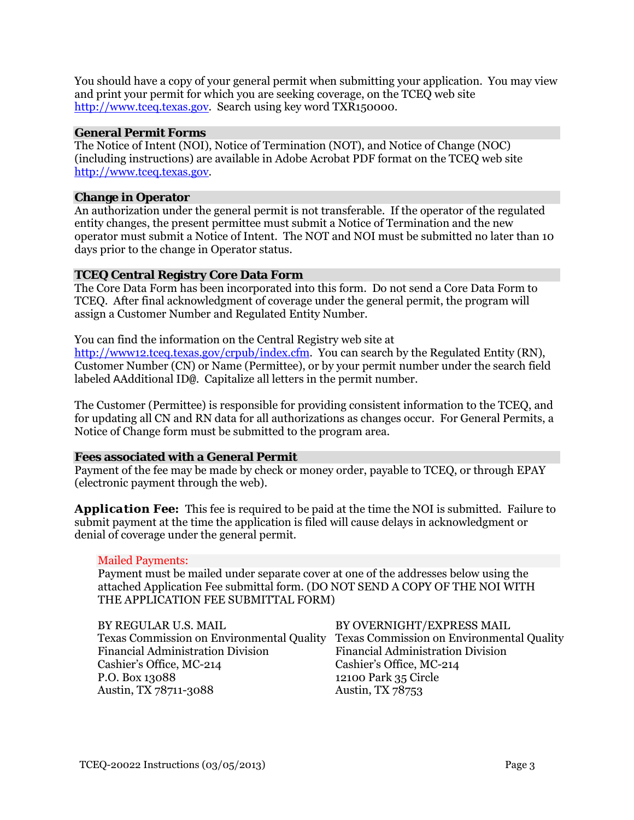You should have a copy of your general permit when submitting your application. You may view and print your permit for which you are seeking coverage, on the TCEQ web site [http://www.tceq.texas.gov.](http://www.tceq.texas.gov/) Search using key word TXR150000.

#### **General Permit Forms**

The Notice of Intent (NOI), Notice of Termination (NOT), and Notice of Change (NOC) (including instructions) are available in Adobe Acrobat PDF format on the TCEQ web site [http://www.tceq.texas.gov.](http://www.tceq.texas.gov/)

#### **Change in Operator**

An authorization under the general permit is not transferable. If the operator of the regulated entity changes, the present permittee must submit a Notice of Termination and the new operator must submit a Notice of Intent. The NOT and NOI must be submitted no later than 10 days prior to the change in Operator status.

#### **TCEQ Central Registry Core Data Form**

The Core Data Form has been incorporated into this form. Do not send a Core Data Form to TCEQ. After final acknowledgment of coverage under the general permit, the program will assign a Customer Number and Regulated Entity Number.

You can find the information on the Central Registry web site at

[http://www12.tceq.texas.gov/crpub/index.cfm.](http://www12.tceq.texas.gov/crpub/index.cfm) You can search by the Regulated Entity (RN), Customer Number (CN) or Name (Permittee), or by your permit number under the search field labeled AAdditional ID@. Capitalize all letters in the permit number.

The Customer (Permittee) is responsible for providing consistent information to the TCEQ, and for updating all CN and RN data for all authorizations as changes occur. For General Permits, a Notice of Change form must be submitted to the program area.

#### **Fees associated with a General Permit**

Payment of the fee may be made by check or money order, payable to TCEQ, or through EPAY (electronic payment through the web).

**Application Fee:** This fee is required to be paid at the time the NOI is submitted. Failure to submit payment at the time the application is filed will cause delays in acknowledgment or denial of coverage under the general permit.

#### Mailed Payments:

Payment must be mailed under separate cover at one of the addresses below using the attached Application Fee submittal form. (DO NOT SEND A COPY OF THE NOI WITH THE APPLICATION FEE SUBMITTAL FORM)

| BY REGULAR U.S. MAIL                             | BY OVERNIGHT/EXPRESS MAIL                        |
|--------------------------------------------------|--------------------------------------------------|
| <b>Texas Commission on Environmental Quality</b> | <b>Texas Commission on Environmental Quality</b> |
| <b>Financial Administration Division</b>         | <b>Financial Administration Division</b>         |
| Cashier's Office, MC-214                         | Cashier's Office, MC-214                         |
| P.O. Box 13088                                   | 12100 Park 35 Circle                             |
| Austin, TX 78711-3088                            | Austin, TX 78753                                 |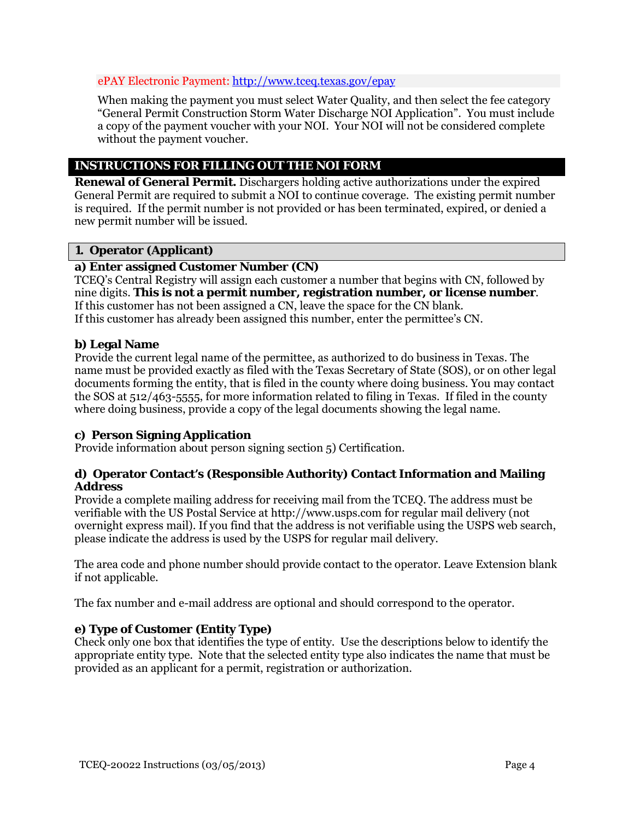#### ePAY Electronic Payment[: http://www.tceq.texas.gov/epay](http://www.tceq.texas.gov/epay)

When making the payment you must select Water Quality, and then select the fee category "General Permit Construction Storm Water Discharge NOI Application". You must include a copy of the payment voucher with your NOI. Your NOI will not be considered complete without the payment voucher.

# **INSTRUCTIONS FOR FILLING OUT THE NOI FORM**

**Renewal of General Permit.** Dischargers holding active authorizations under the expired General Permit are required to submit a NOI to continue coverage. The existing permit number is required. If the permit number is not provided or has been terminated, expired, or denied a new permit number will be issued.

# **1. Operator (Applicant)**

### **a) Enter assigned Customer Number (CN)**

TCEQ's Central Registry will assign each customer a number that begins with CN, followed by nine digits. **This is not a permit number, registration number, or license number**. If this customer has not been assigned a CN, leave the space for the CN blank. If this customer has already been assigned this number, enter the permittee's CN.

### **b) Legal Name**

Provide the current legal name of the permittee, as authorized to do business in Texas. The name must be provided exactly as filed with the Texas Secretary of State (SOS), or on other legal documents forming the entity, that is filed in the county where doing business. You may contact the SOS at 512/463-5555, for more information related to filing in Texas. If filed in the county where doing business, provide a copy of the legal documents showing the legal name.

### **c) Person Signing Application**

Provide information about person signing section 5) Certification.

### **d) Operator Contact's (Responsible Authority) Contact Information and Mailing Address**

Provide a complete mailing address for receiving mail from the TCEQ. The address must be verifiable with the US Postal Service at [http://www.usps.com](http://www.usps.com/) for regular mail delivery (not overnight express mail). If you find that the address is not verifiable using the USPS web search, please indicate the address is used by the USPS for regular mail delivery.

The area code and phone number should provide contact to the operator. Leave Extension blank if not applicable.

The fax number and e-mail address are optional and should correspond to the operator.

### **e) Type of Customer (Entity Type)**

Check only one box that identifies the type of entity. Use the descriptions below to identify the appropriate entity type. Note that the selected entity type also indicates the name that must be provided as an applicant for a permit, registration or authorization.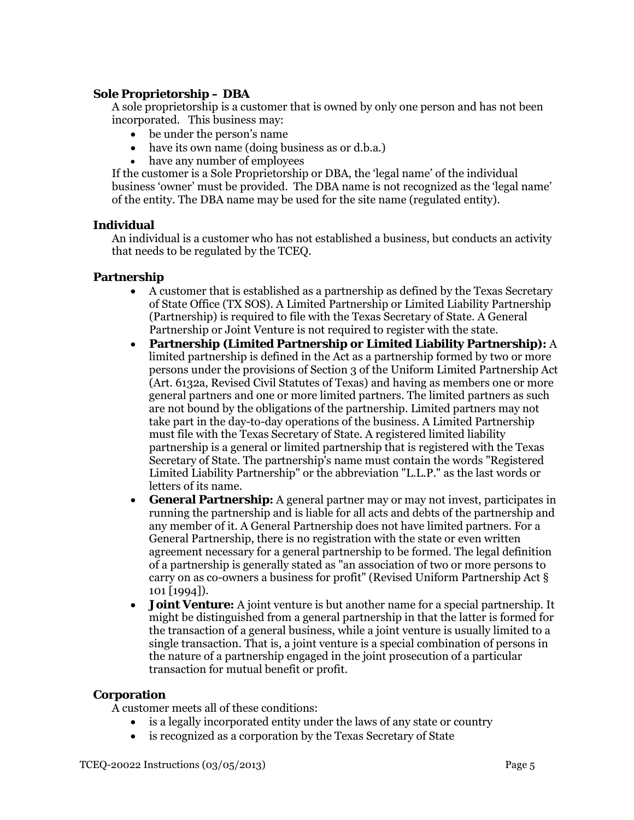### **Sole Proprietorship – DBA**

A sole proprietorship is a customer that is owned by only one person and has not been incorporated. This business may:

- be under the person's name
- have its own name (doing business as or d.b.a.)
- have any number of employees

If the customer is a Sole Proprietorship or DBA, the 'legal name' of the individual business 'owner' must be provided. The DBA name is not recognized as the 'legal name' of the entity. The DBA name may be used for the site name (regulated entity).

#### **Individual**

An individual is a customer who has not established a business, but conducts an activity that needs to be regulated by the TCEQ.

### **Partnership**

- A customer that is established as a partnership as defined by the Texas Secretary of State Office (TX SOS). A Limited Partnership or Limited Liability Partnership (Partnership) is required to file with the Texas Secretary of State. A General Partnership or Joint Venture is not required to register with the state.
- **Partnership (Limited Partnership or Limited Liability Partnership):** A limited partnership is defined in the Act as a partnership formed by two or more persons under the provisions of Section 3 of the Uniform Limited Partnership Act (Art. 6132a, Revised Civil Statutes of Texas) and having as members one or more general partners and one or more limited partners. The limited partners as such are not bound by the obligations of the partnership. Limited partners may not take part in the day-to-day operations of the business. A Limited Partnership must file with the Texas Secretary of State. A registered limited liability partnership is a general or limited partnership that is registered with the Texas Secretary of State. The partnership's name must contain the words "Registered Limited Liability Partnership" or the abbreviation "L.L.P." as the last words or letters of its name.
- **General Partnership:** A general partner may or may not invest, participates in running the partnership and is liable for all acts and debts of the partnership and any member of it. A General Partnership does not have limited partners. For a General Partnership, there is no registration with the state or even written agreement necessary for a general partnership to be formed. The legal definition of a partnership is generally stated as "an association of two or more persons to carry on as co-owners a business for profit" (Revised Uniform Partnership Act § 101 [1994]).
- **Joint Venture:** A joint venture is but another name for a special partnership. It might be distinguished from a general partnership in that the latter is formed for the transaction of a general business, while a joint venture is usually limited to a single transaction. That is, a joint venture is a special combination of persons in the nature of a partnership engaged in the joint prosecution of a particular transaction for mutual benefit or profit.

### **Corporation**

A customer meets all of these conditions:

- is a legally incorporated entity under the laws of any state or country
- is recognized as a corporation by the Texas Secretary of State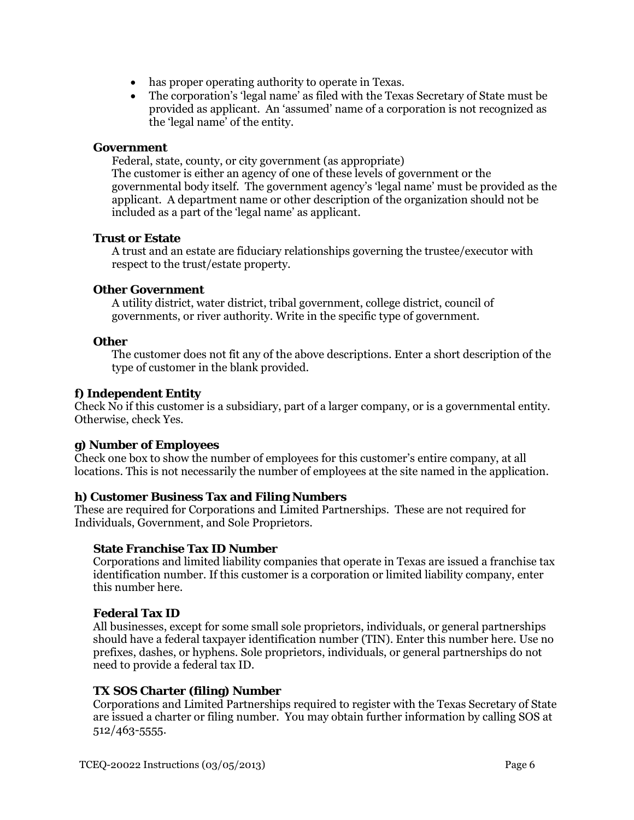- has proper operating authority to operate in Texas.
- The corporation's 'legal name' as filed with the Texas Secretary of State must be provided as applicant. An 'assumed' name of a corporation is not recognized as the 'legal name' of the entity.

#### **Government**

Federal, state, county, or city government (as appropriate) The customer is either an agency of one of these levels of government or the governmental body itself. The government agency's 'legal name' must be provided as the applicant. A department name or other description of the organization should not be included as a part of the 'legal name' as applicant.

#### **Trust or Estate**

A trust and an estate are fiduciary relationships governing the trustee/executor with respect to the trust/estate property.

#### **Other Government**

A utility district, water district, tribal government, college district, council of governments, or river authority. Write in the specific type of government.

#### **Other**

The customer does not fit any of the above descriptions. Enter a short description of the type of customer in the blank provided.

#### **f) Independent Entity**

Check No if this customer is a subsidiary, part of a larger company, or is a governmental entity. Otherwise, check Yes.

#### **g) Number of Employees**

Check one box to show the number of employees for this customer's entire company, at all locations. This is not necessarily the number of employees at the site named in the application.

### **h) Customer Business Tax and Filing Numbers**

These are required for Corporations and Limited Partnerships. These are not required for Individuals, Government, and Sole Proprietors.

#### **State Franchise Tax ID Number**

Corporations and limited liability companies that operate in Texas are issued a franchise tax identification number. If this customer is a corporation or limited liability company, enter this number here.

### **Federal Tax ID**

All businesses, except for some small sole proprietors, individuals, or general partnerships should have a federal taxpayer identification number (TIN). Enter this number here. Use no prefixes, dashes, or hyphens. Sole proprietors, individuals, or general partnerships do not need to provide a federal tax ID.

### **TX SOS Charter (filing) Number**

Corporations and Limited Partnerships required to register with the Texas Secretary of State are issued a charter or filing number. You may obtain further information by calling SOS at 512/463-5555.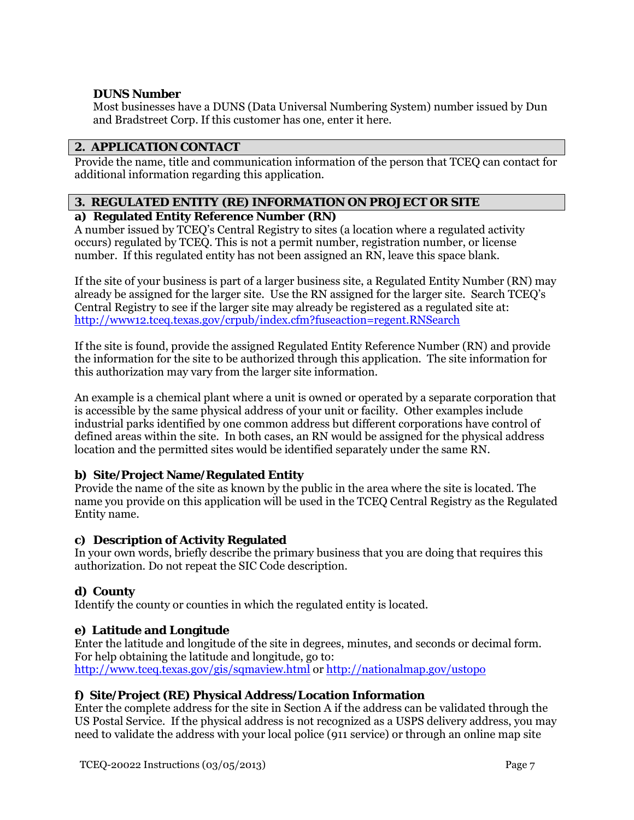# **DUNS Number**

Most businesses have a DUNS (Data Universal Numbering System) number issued by Dun and Bradstreet Corp. If this customer has one, enter it here.

# **2. APPLICATION CONTACT**

Provide the name, title and communication information of the person that TCEQ can contact for additional information regarding this application.

# **3. REGULATED ENTITY (RE) INFORMATION ON PROJECT OR SITE**

# **a) Regulated Entity Reference Number (RN)**

A number issued by TCEQ's Central Registry to sites (a location where a regulated activity occurs) regulated by TCEQ. This is not a permit number, registration number, or license number. If this regulated entity has not been assigned an RN, leave this space blank.

If the site of your business is part of a larger business site, a Regulated Entity Number (RN) may already be assigned for the larger site. Use the RN assigned for the larger site. Search TCEQ's Central Registry to see if the larger site may already be registered as a regulated site at: <http://www12.tceq.texas.gov/crpub/index.cfm?fuseaction=regent.RNSearch>

If the site is found, provide the assigned Regulated Entity Reference Number (RN) and provide the information for the site to be authorized through this application. The site information for this authorization may vary from the larger site information.

An example is a chemical plant where a unit is owned or operated by a separate corporation that is accessible by the same physical address of your unit or facility. Other examples include industrial parks identified by one common address but different corporations have control of defined areas within the site. In both cases, an RN would be assigned for the physical address location and the permitted sites would be identified separately under the same RN.

# **b) Site/Project Name/Regulated Entity**

Provide the name of the site as known by the public in the area where the site is located. The name you provide on this application will be used in the TCEQ Central Registry as the Regulated Entity name.

# **c) Description of Activity Regulated**

In your own words, briefly describe the primary business that you are doing that requires this authorization. Do not repeat the SIC Code description.

# **d) County**

Identify the county or counties in which the regulated entity is located.

# **e) Latitude and Longitude**

Enter the latitude and longitude of the site in degrees, minutes, and seconds or decimal form. For help obtaining the latitude and longitude, go to: <http://www.tceq.texas.gov/gis/sqmaview.html> or <http://nationalmap.gov/ustopo>

# **f) Site/Project (RE) Physical Address/Location Information**

Enter the complete address for the site in Section A if the address can be validated through the US Postal Service. If the physical address is not recognized as a USPS delivery address, you may need to validate the address with your local police (911 service) or through an online map site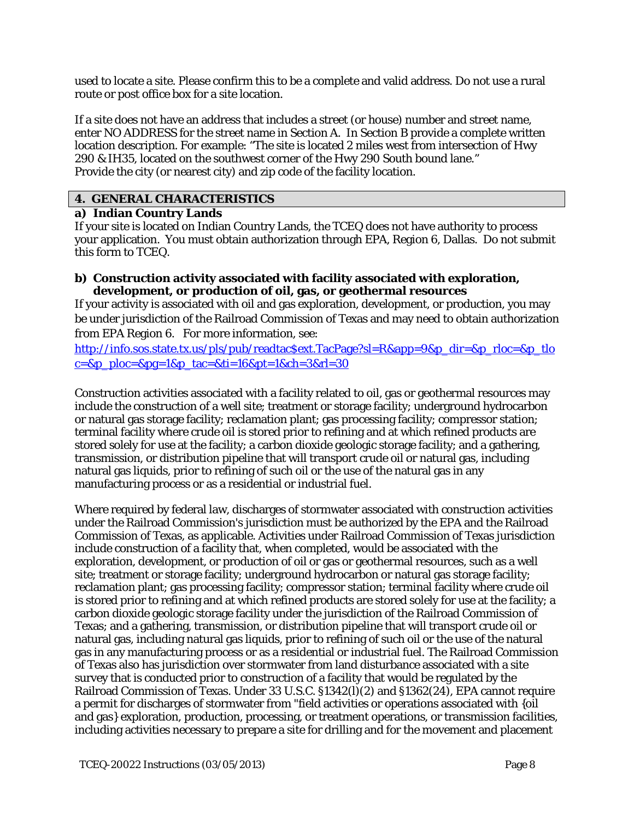used to locate a site. Please confirm this to be a complete and valid address. Do not use a rural route or post office box for a site location.

If a site does not have an address that includes a street (or house) number and street name, enter NO ADDRESS for the street name in Section A. In Section B provide a complete written location description. For example: "The site is located 2 miles west from intersection of Hwy 290 & IH35, located on the southwest corner of the Hwy 290 South bound lane." Provide the city (or nearest city) and zip code of the facility location.

## **4. GENERAL CHARACTERISTICS**

### **a) Indian Country Lands**

If your site is located on Indian Country Lands, the TCEQ does not have authority to process your application. You must obtain authorization through EPA, Region 6, Dallas. Do not submit this form to TCEQ.

#### **b) Construction activity associated with facility associated with exploration, development, or production of oil, gas, or geothermal resources**

If your activity is associated with oil and gas exploration, development, or production, you may be under jurisdiction of the Railroad Commission of Texas and may need to obtain authorization from EPA Region 6. For more information, see:

[http://info.sos.state.tx.us/pls/pub/readtac\\$ext.TacPage?sl=R&app=9&p\\_dir=&p\\_rloc=&p\\_tlo](http://info.sos.state.tx.us/pls/pub/readtac$ext.TacPage?sl=R&app=9&p_dir=&p_rloc=&p_tloc=&p_ploc=&pg=1&p_tac=&ti=16&pt=1&ch=3&rl=30)  $c = 8p$  ploc= $8pg = 18p$  tac= $8ti = 168pt = 18ch = 38rl = 30$ 

Construction activities associated with a facility related to oil, gas or geothermal resources may include the construction of a well site; treatment or storage facility; underground hydrocarbon or natural gas storage facility; reclamation plant; gas processing facility; compressor station; terminal facility where crude oil is stored prior to refining and at which refined products are stored solely for use at the facility; a carbon dioxide geologic storage facility; and a gathering, transmission, or distribution pipeline that will transport crude oil or natural gas, including natural gas liquids, prior to refining of such oil or the use of the natural gas in any manufacturing process or as a residential or industrial fuel.

Where required by federal law, discharges of stormwater associated with construction activities under the Railroad Commission's jurisdiction must be authorized by the EPA and the Railroad Commission of Texas, as applicable. Activities under Railroad Commission of Texas jurisdiction include construction of a facility that, when completed, would be associated with the exploration, development, or production of oil or gas or geothermal resources, such as a well site; treatment or storage facility; underground hydrocarbon or natural gas storage facility; reclamation plant; gas processing facility; compressor station; terminal facility where crude oil is stored prior to refining and at which refined products are stored solely for use at the facility; a carbon dioxide geologic storage facility under the jurisdiction of the Railroad Commission of Texas; and a gathering, transmission, or distribution pipeline that will transport crude oil or natural gas, including natural gas liquids, prior to refining of such oil or the use of the natural gas in any manufacturing process or as a residential or industrial fuel. The Railroad Commission of Texas also has jurisdiction over stormwater from land disturbance associated with a site survey that is conducted prior to construction of a facility that would be regulated by the Railroad Commission of Texas. Under 33 U.S.C. §1342(l)(2) and §1362(24), EPA cannot require a permit for discharges of stormwater from "field activities or operations associated with {oil and gas} exploration, production, processing, or treatment operations, or transmission facilities, including activities necessary to prepare a site for drilling and for the movement and placement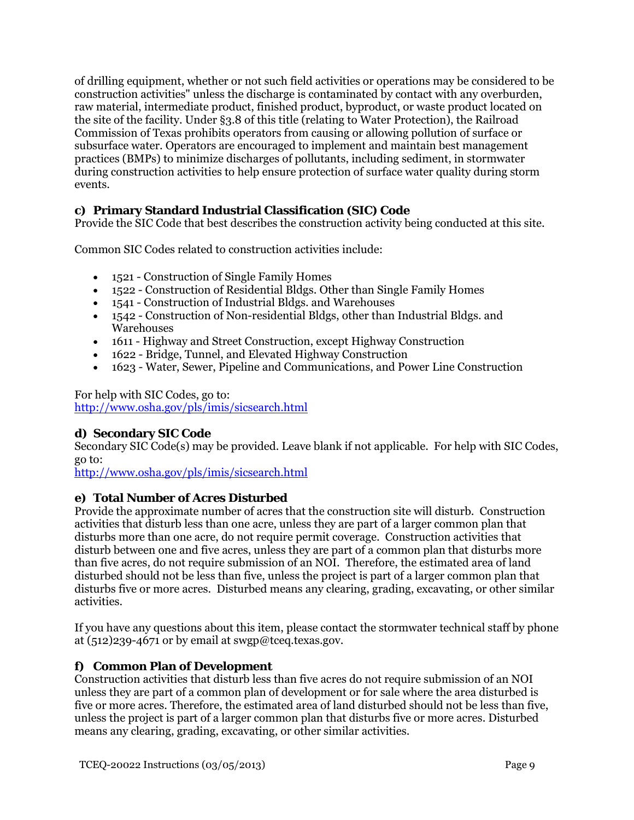of drilling equipment, whether or not such field activities or operations may be considered to be construction activities" unless the discharge is contaminated by contact with any overburden, raw material, intermediate product, finished product, byproduct, or waste product located on the site of the facility. Under §3.8 of this title (relating to Water Protection), the Railroad Commission of Texas prohibits operators from causing or allowing pollution of surface or subsurface water. Operators are encouraged to implement and maintain best management practices (BMPs) to minimize discharges of pollutants, including sediment, in stormwater during construction activities to help ensure protection of surface water quality during storm events.

# **c) Primary Standard Industrial Classification (SIC) Code**

Provide the SIC Code that best describes the construction activity being conducted at this site.

Common SIC Codes related to construction activities include:

- 1521 Construction of Single Family Homes
- 1522 Construction of Residential Bldgs. Other than Single Family Homes
- 1541 Construction of Industrial Bldgs. and Warehouses
- 1542 Construction of Non-residential Bldgs, other than Industrial Bldgs. and **Warehouses**
- 1611 Highway and Street Construction, except Highway Construction
- 1622 Bridge, Tunnel, and Elevated Highway Construction
- 1623 Water, Sewer, Pipeline and Communications, and Power Line Construction

For help with SIC Codes, go to: <http://www.osha.gov/pls/imis/sicsearch.html>

# **d) Secondary SIC Code**

Secondary SIC Code(s) may be provided. Leave blank if not applicable. For help with SIC Codes, go to:

<http://www.osha.gov/pls/imis/sicsearch.html>

### **e) Total Number of Acres Disturbed**

Provide the approximate number of acres that the construction site will disturb. Construction activities that disturb less than one acre, unless they are part of a larger common plan that disturbs more than one acre, do not require permit coverage. Construction activities that disturb between one and five acres, unless they are part of a common plan that disturbs more than five acres, do not require submission of an NOI. Therefore, the estimated area of land disturbed should not be less than five, unless the project is part of a larger common plan that disturbs five or more acres. Disturbed means any clearing, grading, excavating, or other similar activities.

If you have any questions about this item, please contact the stormwater technical staff by phone at  $(512)239-4671$  or by email at swgp@tceq.texas.gov.

# **f) Common Plan of Development**

Construction activities that disturb less than five acres do not require submission of an NOI unless they are part of a common plan of development or for sale where the area disturbed is five or more acres. Therefore, the estimated area of land disturbed should not be less than five, unless the project is part of a larger common plan that disturbs five or more acres. Disturbed means any clearing, grading, excavating, or other similar activities.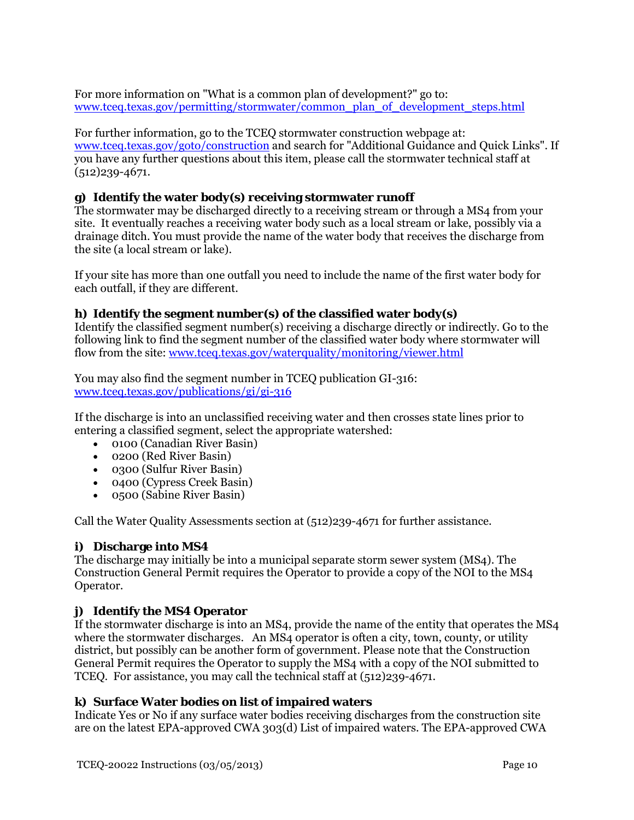For more information on "What is a common plan of development?" go to: [www.tceq.texas.gov/permitting/stormwater/common\\_plan\\_of\\_development\\_steps.html](www.tceq.texas.gov/permitting/stormwater/common_plan_of_development_steps.html)

For further information, go to the TCEQ stormwater construction webpage at: <www.tceq.texas.gov/goto/construction> and search for "Additional Guidance and Quick Links". If you have any further questions about this item, please call the stormwater technical staff at (512)239-4671.

# **g) Identify the water body(s) receiving stormwater runoff**

The stormwater may be discharged directly to a receiving stream or through a MS4 from your site. It eventually reaches a receiving water body such as a local stream or lake, possibly via a drainage ditch. You must provide the name of the water body that receives the discharge from the site (a local stream or lake).

If your site has more than one outfall you need to include the name of the first water body for each outfall, if they are different.

### **h) Identify the segment number(s) of the classified water body(s)**

Identify the classified segment number(s) receiving a discharge directly or indirectly. Go to the following link to find the segment number of the classified water body where stormwater will flow from the site:<www.tceq.texas.gov/waterquality/monitoring/viewer.html>

You may also find the segment number in TCEQ publication GI-316: <www.tceq.texas.gov/publications/gi/gi-316>

If the discharge is into an unclassified receiving water and then crosses state lines prior to entering a classified segment, select the appropriate watershed:

- 0100 (Canadian River Basin)
- 0200 (Red River Basin)
- 0300 (Sulfur River Basin)
- 0400 (Cypress Creek Basin)
- 0500 (Sabine River Basin)

Call the Water Quality Assessments section at (512)239-4671 for further assistance.

### **i) Discharge into MS4**

The discharge may initially be into a municipal separate storm sewer system (MS4). The Construction General Permit requires the Operator to provide a copy of the NOI to the MS4 Operator.

### **j) Identify the MS4 Operator**

If the stormwater discharge is into an MS4, provide the name of the entity that operates the MS4 where the stormwater discharges. An MS4 operator is often a city, town, county, or utility district, but possibly can be another form of government. Please note that the Construction General Permit requires the Operator to supply the MS4 with a copy of the NOI submitted to TCEQ. For assistance, you may call the technical staff at (512)239-4671.

#### **k) Surface Water bodies on list of impaired waters**

Indicate Yes or No if any surface water bodies receiving discharges from the construction site are on the latest EPA-approved CWA 303(d) List of impaired waters. The EPA-approved CWA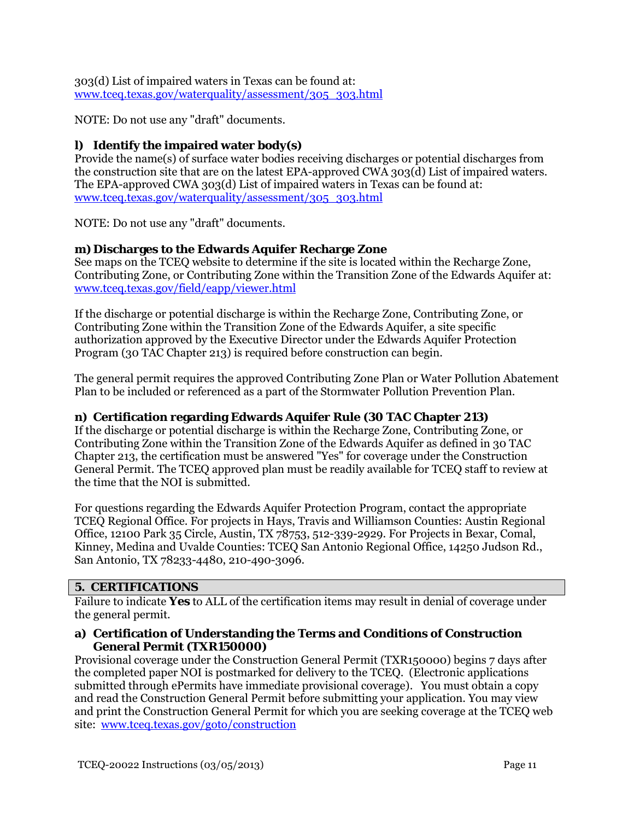303(d) List of impaired waters in Texas can be found at: [www.tceq.texas.gov/waterquality/assessment/305\\_303.html](http://www.tceq.texas.gov/waterquality/assessment/305_303.html)

NOTE: Do not use any "draft" documents.

# **l) Identify the impaired water body(s)**

Provide the name(s) of surface water bodies receiving discharges or potential discharges from the construction site that are on the latest EPA-approved CWA 303(d) List of impaired waters. The EPA-approved CWA 303(d) List of impaired waters in Texas can be found at: [www.tceq.texas.gov/waterquality/assessment/305\\_303.html](http://www.tceq.texas.gov/waterquality/assessment/305_303.html)

NOTE: Do not use any "draft" documents.

# **m) Discharges to the Edwards Aquifer Recharge Zone**

See maps on the TCEQ website to determine if the site is located within the Recharge Zone, Contributing Zone, or Contributing Zone within the Transition Zone of the Edwards Aquifer at: [www.tceq.texas.gov/field/eapp/viewer.html](http://www.tceq.texas.gov/field/eapp/viewer.html)

If the discharge or potential discharge is within the Recharge Zone, Contributing Zone, or Contributing Zone within the Transition Zone of the Edwards Aquifer, a site specific authorization approved by the Executive Director under the Edwards Aquifer Protection Program (30 TAC Chapter 213) is required before construction can begin.

The general permit requires the approved Contributing Zone Plan or Water Pollution Abatement Plan to be included or referenced as a part of the Stormwater Pollution Prevention Plan.

# **n) Certification regarding Edwards Aquifer Rule (30 TAC Chapter 213)**

If the discharge or potential discharge is within the Recharge Zone, Contributing Zone, or Contributing Zone within the Transition Zone of the Edwards Aquifer as defined in 30 TAC Chapter 213, the certification must be answered "Yes" for coverage under the Construction General Permit. The TCEQ approved plan must be readily available for TCEQ staff to review at the time that the NOI is submitted.

For questions regarding the Edwards Aquifer Protection Program, contact the appropriate TCEQ Regional Office. For projects in Hays, Travis and Williamson Counties: Austin Regional Office, 12100 Park 35 Circle, Austin, TX 78753, 512-339-2929. For Projects in Bexar, Comal, Kinney, Medina and Uvalde Counties: TCEQ San Antonio Regional Office, 14250 Judson Rd., San Antonio, TX 78233-4480, 210-490-3096.

# **5. CERTIFICATIONS**

Failure to indicate **Yes** to ALL of the certification items may result in denial of coverage under the general permit.

#### **a) Certification of Understanding the Terms and Conditions of Construction General Permit (TXR150000)**

Provisional coverage under the Construction General Permit (TXR150000) begins 7 days after the completed paper NOI is postmarked for delivery to the TCEQ. (Electronic applications submitted through ePermits have immediate provisional coverage). You must obtain a copy and read the Construction General Permit before submitting your application. You may view and print the Construction General Permit for which you are seeking coverage at the TCEQ web site: [www.tceq.texas.gov/goto/construction](http://www.tceq.texas.gov/goto/construction)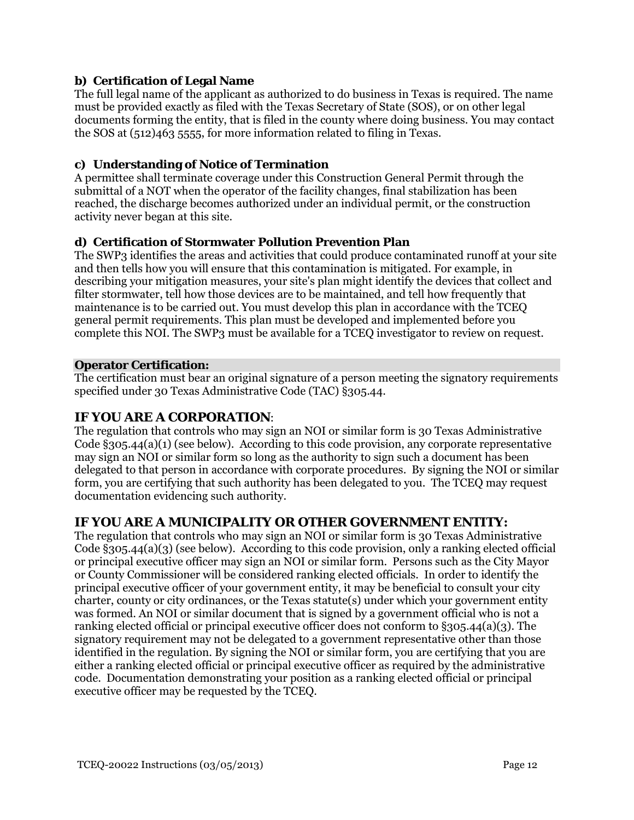# **b) Certification of Legal Name**

The full legal name of the applicant as authorized to do business in Texas is required. The name must be provided exactly as filed with the Texas Secretary of State (SOS), or on other legal documents forming the entity, that is filed in the county where doing business. You may contact the SOS at (512)463 5555, for more information related to filing in Texas.

# **c) Understanding of Notice of Termination**

A permittee shall terminate coverage under this Construction General Permit through the submittal of a NOT when the operator of the facility changes, final stabilization has been reached, the discharge becomes authorized under an individual permit, or the construction activity never began at this site.

# **d) Certification of Stormwater Pollution Prevention Plan**

The SWP3 identifies the areas and activities that could produce contaminated runoff at your site and then tells how you will ensure that this contamination is mitigated. For example, in describing your mitigation measures, your site's plan might identify the devices that collect and filter stormwater, tell how those devices are to be maintained, and tell how frequently that maintenance is to be carried out. You must develop this plan in accordance with the TCEQ general permit requirements. This plan must be developed and implemented before you complete this NOI. The SWP3 must be available for a TCEQ investigator to review on request.

### **Operator Certification:**

The certification must bear an original signature of a person meeting the signatory requirements specified under 30 Texas Administrative Code (TAC) §305.44.

# **IF YOU ARE A CORPORATION**:

The regulation that controls who may sign an NOI or similar form is 30 Texas Administrative Code §305.44(a)(1) (see below). According to this code provision, any corporate representative may sign an NOI or similar form so long as the authority to sign such a document has been delegated to that person in accordance with corporate procedures. By signing the NOI or similar form, you are certifying that such authority has been delegated to you. The TCEQ may request documentation evidencing such authority.

# **IF YOU ARE A MUNICIPALITY OR OTHER GOVERNMENT ENTITY:**

The regulation that controls who may sign an NOI or similar form is 30 Texas Administrative Code §305.44(a)(3) (see below). According to this code provision, only a ranking elected official or principal executive officer may sign an NOI or similar form. Persons such as the City Mayor or County Commissioner will be considered ranking elected officials. In order to identify the principal executive officer of your government entity, it may be beneficial to consult your city charter, county or city ordinances, or the Texas statute(s) under which your government entity was formed. An NOI or similar document that is signed by a government official who is not a ranking elected official or principal executive officer does not conform to §305.44(a)(3). The signatory requirement may not be delegated to a government representative other than those identified in the regulation. By signing the NOI or similar form, you are certifying that you are either a ranking elected official or principal executive officer as required by the administrative code. Documentation demonstrating your position as a ranking elected official or principal executive officer may be requested by the TCEQ.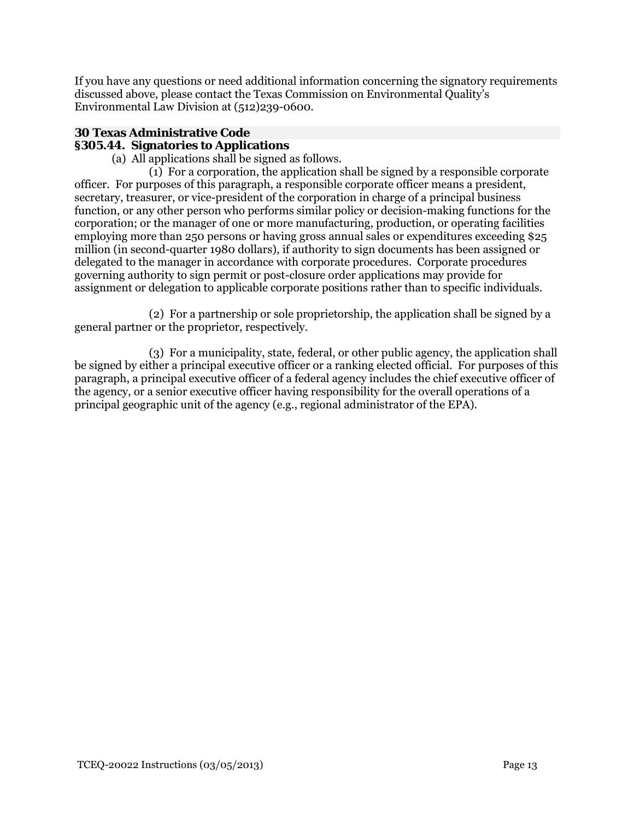If you have any questions or need additional information concerning the signatory requirements discussed above, please contact the Texas Commission on Environmental Quality's Environmental Law Division at (512)239-0600.

#### **30 Texas Administrative Code §305.44. Signatories to Applications**

(a) All applications shall be signed as follows.

 (1) For a corporation, the application shall be signed by a responsible corporate officer. For purposes of this paragraph, a responsible corporate officer means a president, secretary, treasurer, or vice-president of the corporation in charge of a principal business function, or any other person who performs similar policy or decision-making functions for the corporation; or the manager of one or more manufacturing, production, or operating facilities employing more than 250 persons or having gross annual sales or expenditures exceeding \$25 million (in second-quarter 1980 dollars), if authority to sign documents has been assigned or delegated to the manager in accordance with corporate procedures. Corporate procedures governing authority to sign permit or post-closure order applications may provide for assignment or delegation to applicable corporate positions rather than to specific individuals.

 (2) For a partnership or sole proprietorship, the application shall be signed by a general partner or the proprietor, respectively.

 (3) For a municipality, state, federal, or other public agency, the application shall be signed by either a principal executive officer or a ranking elected official. For purposes of this paragraph, a principal executive officer of a federal agency includes the chief executive officer of the agency, or a senior executive officer having responsibility for the overall operations of a principal geographic unit of the agency (e.g., regional administrator of the EPA).